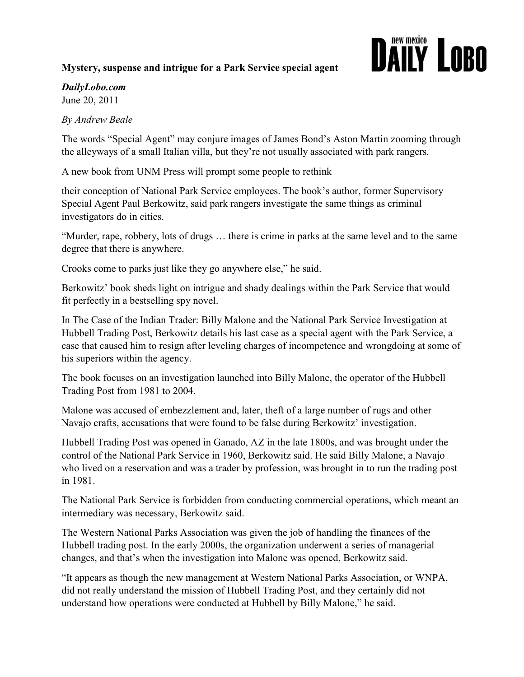## Mystery, suspense and intrigue for a Park Service special agent

## **DAILY LOBO**

## DailyLobo.com

June 20, 2011

By Andrew Beale

The words "Special Agent" may conjure images of James Bond's Aston Martin zooming through the alleyways of a small Italian villa, but they're not usually associated with park rangers.

A new book from UNM Press will prompt some people to rethink

their conception of National Park Service employees. The book's author, former Supervisory Special Agent Paul Berkowitz, said park rangers investigate the same things as criminal investigators do in cities.

"Murder, rape, robbery, lots of drugs … there is crime in parks at the same level and to the same degree that there is anywhere.

Crooks come to parks just like they go anywhere else," he said.

Berkowitz' book sheds light on intrigue and shady dealings within the Park Service that would fit perfectly in a bestselling spy novel.

In The Case of the Indian Trader: Billy Malone and the National Park Service Investigation at Hubbell Trading Post, Berkowitz details his last case as a special agent with the Park Service, a case that caused him to resign after leveling charges of incompetence and wrongdoing at some of his superiors within the agency.

The book focuses on an investigation launched into Billy Malone, the operator of the Hubbell Trading Post from 1981 to 2004.

Malone was accused of embezzlement and, later, theft of a large number of rugs and other Navajo crafts, accusations that were found to be false during Berkowitz' investigation.

Hubbell Trading Post was opened in Ganado, AZ in the late 1800s, and was brought under the control of the National Park Service in 1960, Berkowitz said. He said Billy Malone, a Navajo who lived on a reservation and was a trader by profession, was brought in to run the trading post in 1981.

The National Park Service is forbidden from conducting commercial operations, which meant an intermediary was necessary, Berkowitz said.

The Western National Parks Association was given the job of handling the finances of the Hubbell trading post. In the early 2000s, the organization underwent a series of managerial changes, and that's when the investigation into Malone was opened, Berkowitz said.

"It appears as though the new management at Western National Parks Association, or WNPA, did not really understand the mission of Hubbell Trading Post, and they certainly did not understand how operations were conducted at Hubbell by Billy Malone," he said.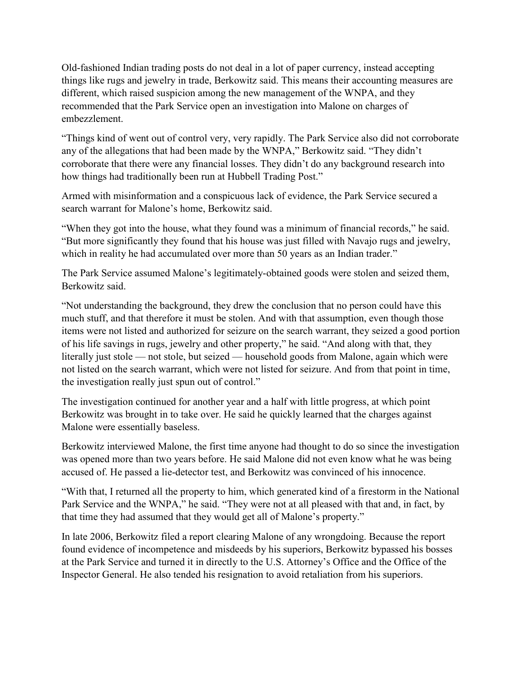Old-fashioned Indian trading posts do not deal in a lot of paper currency, instead accepting things like rugs and jewelry in trade, Berkowitz said. This means their accounting measures are different, which raised suspicion among the new management of the WNPA, and they recommended that the Park Service open an investigation into Malone on charges of embezzlement.

"Things kind of went out of control very, very rapidly. The Park Service also did not corroborate any of the allegations that had been made by the WNPA," Berkowitz said. "They didn't corroborate that there were any financial losses. They didn't do any background research into how things had traditionally been run at Hubbell Trading Post."

Armed with misinformation and a conspicuous lack of evidence, the Park Service secured a search warrant for Malone's home, Berkowitz said.

"When they got into the house, what they found was a minimum of financial records," he said. "But more significantly they found that his house was just filled with Navajo rugs and jewelry, which in reality he had accumulated over more than 50 years as an Indian trader."

The Park Service assumed Malone's legitimately-obtained goods were stolen and seized them, Berkowitz said.

"Not understanding the background, they drew the conclusion that no person could have this much stuff, and that therefore it must be stolen. And with that assumption, even though those items were not listed and authorized for seizure on the search warrant, they seized a good portion of his life savings in rugs, jewelry and other property," he said. "And along with that, they literally just stole — not stole, but seized — household goods from Malone, again which were not listed on the search warrant, which were not listed for seizure. And from that point in time, the investigation really just spun out of control."

The investigation continued for another year and a half with little progress, at which point Berkowitz was brought in to take over. He said he quickly learned that the charges against Malone were essentially baseless.

Berkowitz interviewed Malone, the first time anyone had thought to do so since the investigation was opened more than two years before. He said Malone did not even know what he was being accused of. He passed a lie-detector test, and Berkowitz was convinced of his innocence.

"With that, I returned all the property to him, which generated kind of a firestorm in the National Park Service and the WNPA," he said. "They were not at all pleased with that and, in fact, by that time they had assumed that they would get all of Malone's property."

In late 2006, Berkowitz filed a report clearing Malone of any wrongdoing. Because the report found evidence of incompetence and misdeeds by his superiors, Berkowitz bypassed his bosses at the Park Service and turned it in directly to the U.S. Attorney's Office and the Office of the Inspector General. He also tended his resignation to avoid retaliation from his superiors.